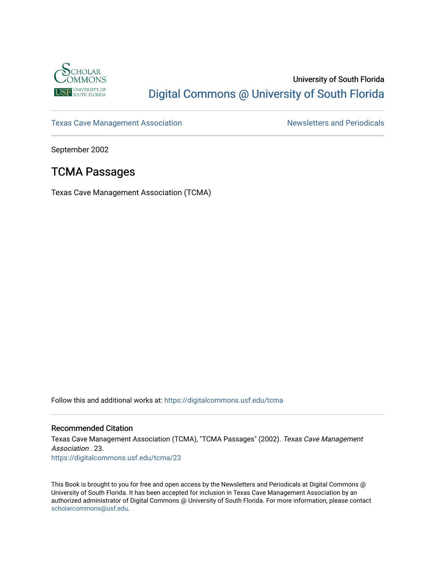

## University of South Florida [Digital Commons @ University of South Florida](https://digitalcommons.usf.edu/)

[Texas Cave Management Association](https://digitalcommons.usf.edu/tcma) Newsletters and Periodicals

September 2002

## TCMA Passages

Texas Cave Management Association (TCMA)

Follow this and additional works at: [https://digitalcommons.usf.edu/tcma](https://digitalcommons.usf.edu/tcma?utm_source=digitalcommons.usf.edu%2Ftcma%2F23&utm_medium=PDF&utm_campaign=PDFCoverPages) 

### Recommended Citation

Texas Cave Management Association (TCMA), "TCMA Passages" (2002). Texas Cave Management Association . 23. [https://digitalcommons.usf.edu/tcma/23](https://digitalcommons.usf.edu/tcma/23?utm_source=digitalcommons.usf.edu%2Ftcma%2F23&utm_medium=PDF&utm_campaign=PDFCoverPages)

This Book is brought to you for free and open access by the Newsletters and Periodicals at Digital Commons @ University of South Florida. It has been accepted for inclusion in Texas Cave Management Association by an authorized administrator of Digital Commons @ University of South Florida. For more information, please contact [scholarcommons@usf.edu.](mailto:scholarcommons@usf.edu)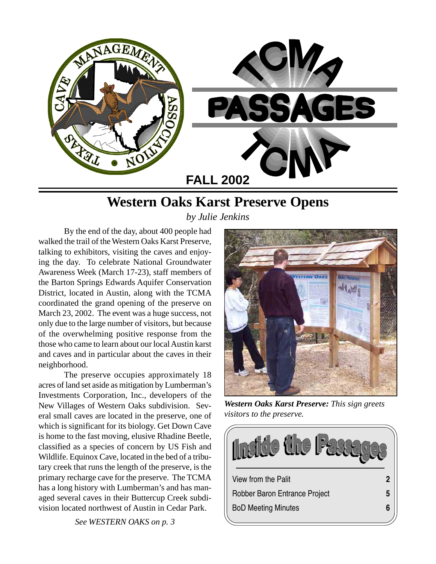

# **Western Oaks Karst Preserve Opens**

*by Julie Jenkins*

By the end of the day, about 400 people had walked the trail of the Western Oaks Karst Preserve, talking to exhibitors, visiting the caves and enjoying the day. To celebrate National Groundwater Awareness Week (March 17-23), staff members of the Barton Springs Edwards Aquifer Conservation District, located in Austin, along with the TCMA coordinated the grand opening of the preserve on March 23, 2002. The event was a huge success, not only due to the large number of visitors, but because of the overwhelming positive response from the those who came to learn about our local Austin karst and caves and in particular about the caves in their neighborhood.

The preserve occupies approximately 18 acres of land set aside as mitigation by Lumberman's Investments Corporation, Inc., developers of the New Villages of Western Oaks subdivision. Several small caves are located in the preserve, one of which is significant for its biology. Get Down Cave is home to the fast moving, elusive Rhadine Beetle, classified as a species of concern by US Fish and Wildlife. Equinox Cave, located in the bed of a tributary creek that runs the length of the preserve, is the primary recharge cave for the preserve. The TCMA has a long history with Lumberman's and has managed several caves in their Buttercup Creek subdivision located northwest of Austin in Cedar Park.



*Western Oaks Karst Preserve: This sign greets visitors to the preserve.*

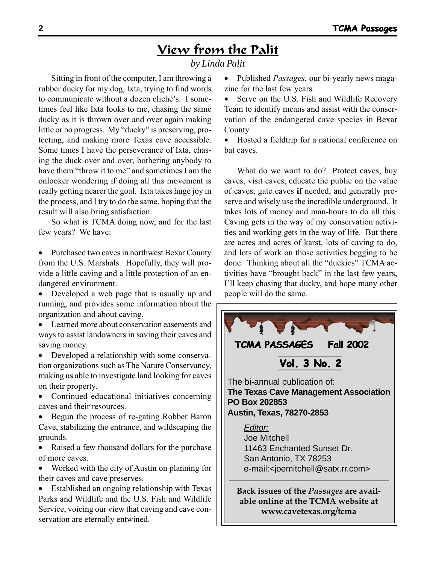# View from the Palit

### *by Linda Palit*

Sitting in front of the computer, I am throwing a rubber ducky for my dog, Ixta, trying to find words to communicate without a dozen cliché's. I sometimes feel like Ixta looks to me, chasing the same ducky as it is thrown over and over again making little or no progress. My "ducky" is preserving, protecting, and making more Texas cave accessible. Some times I have the perseverance of Ixta, chasing the duck over and over, bothering anybody to have them "throw it to me" and sometimes I am the onlooker wondering if doing all this movement is really getting nearer the goal. Ixta takes huge joy in the process, and I try to do the same, hoping that the result will also bring satisfaction.

So what is TCMA doing now, and for the last few years? We have:

• Purchased two caves in northwest Bexar County from the U.S. Marshals. Hopefully, they will provide a little caving and a little protection of an endangered environment.

- Developed a web page that is usually up and running, and provides some information about the organization and about caving.
- Learned more about conservation easements and ways to assist landowners in saving their caves and saving money.
- Developed a relationship with some conservation organizations such as The Nature Conservancy, making us able to investigate land looking for caves on their property.
- Continued educational initiatives concerning caves and their resources.

• Begun the process of re-gating Robber Baron Cave, stabilizing the entrance, and wildscaping the grounds.

• Raised a few thousand dollars for the purchase of more caves.

• Worked with the city of Austin on planning for their caves and cave preserves.

• Established an ongoing relationship with Texas Parks and Wildlife and the U.S. Fish and Wildlife Service, voicing our view that caving and cave conservation are eternally entwined.

• Published *Passages*, our bi-yearly news magazine for the last few years.

Serve on the U.S. Fish and Wildlife Recovery Team to identify means and assist with the conservation of the endangered cave species in Bexar County.

• Hosted a fieldtrip for a national conference on bat caves.

What do we want to do? Protect caves, buy caves, visit caves, educate the public on the value of caves, gate caves **if** needed, and generally preserve and wisely use the incredible underground. It takes lots of money and man-hours to do all this. Caving gets in the way of my conservation activities and working gets in the way of life. But there are acres and acres of karst, lots of caving to do, and lots of work on those activities begging to be done. Thinking about all the "duckies" TCMA activities have "brought back" in the last few years, I'll keep chasing that ducky, and hope many other people will do the same.

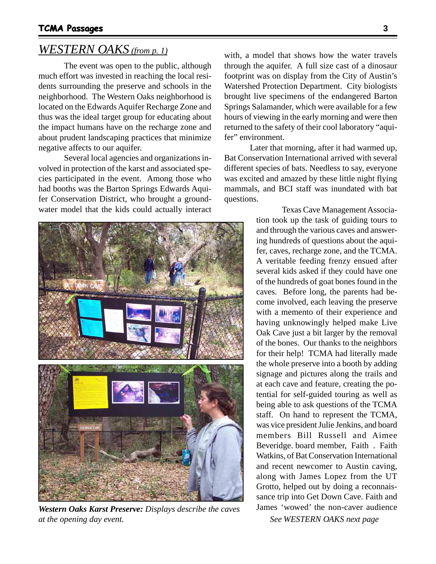## *WESTERN OAKS (from p. 1)*

The event was open to the public, although much effort was invested in reaching the local residents surrounding the preserve and schools in the neighborhood. The Western Oaks neighborhood is located on the Edwards Aquifer Recharge Zone and thus was the ideal target group for educating about the impact humans have on the recharge zone and about prudent landscaping practices that minimize negative affects to our aquifer.

Several local agencies and organizations involved in protection of the karst and associated species participated in the event. Among those who had booths was the Barton Springs Edwards Aquifer Conservation District, who brought a groundwater model that the kids could actually interact



*Western Oaks Karst Preserve: Displays describe the caves* James 'wowed' the non-caver audience *at the opening day event. See WESTERN OAKS next page*

with, a model that shows how the water travels through the aquifer. A full size cast of a dinosaur footprint was on display from the City of Austin's Watershed Protection Department. City biologists brought live specimens of the endangered Barton Springs Salamander, which were available for a few hours of viewing in the early morning and were then returned to the safety of their cool laboratory "aquifer" environment.

Later that morning, after it had warmed up, Bat Conservation International arrived with several different species of bats. Needless to say, everyone was excited and amazed by these little night flying mammals, and BCI staff was inundated with bat questions.

> Texas Cave Management Association took up the task of guiding tours to and through the various caves and answering hundreds of questions about the aquifer, caves, recharge zone, and the TCMA. A veritable feeding frenzy ensued after several kids asked if they could have one of the hundreds of goat bones found in the caves. Before long, the parents had become involved, each leaving the preserve with a memento of their experience and having unknowingly helped make Live Oak Cave just a bit larger by the removal of the bones. Our thanks to the neighbors for their help! TCMA had literally made the whole preserve into a booth by adding signage and pictures along the trails and at each cave and feature, creating the potential for self-guided touring as well as being able to ask questions of the TCMA staff. On hand to represent the TCMA, was vice president Julie Jenkins, and board members Bill Russell and Aimee Beveridge. board member, Faith . Faith Watkins, of Bat Conservation International and recent newcomer to Austin caving, along with James Lopez from the UT Grotto, helped out by doing a reconnaissance trip into Get Down Cave. Faith and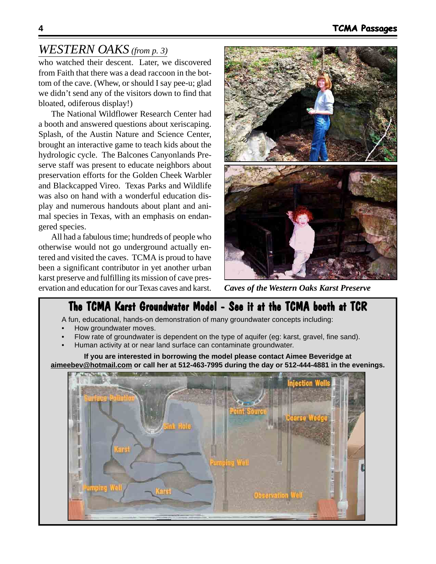## *WESTERN OAKS (from p. 3)*

who watched their descent. Later, we discovered from Faith that there was a dead raccoon in the bottom of the cave. (Whew, or should I say pee-u; glad we didn't send any of the visitors down to find that bloated, odiferous display!)

The National Wildflower Research Center had a booth and answered questions about xeriscaping. Splash, of the Austin Nature and Science Center, brought an interactive game to teach kids about the hydrologic cycle. The Balcones Canyonlands Preserve staff was present to educate neighbors about preservation efforts for the Golden Cheek Warbler and Blackcapped Vireo. Texas Parks and Wildlife was also on hand with a wonderful education display and numerous handouts about plant and animal species in Texas, with an emphasis on endangered species.

All had a fabulous time; hundreds of people who otherwise would not go underground actually entered and visited the caves. TCMA is proud to have been a significant contributor in yet another urban karst preserve and fulfilling its mission of cave preservation and education for our Texas caves and karst.



*Caves of the Western Oaks Karst Preserve*

## The TCMA Karst Groundwater Model - See it at the TCMA booth at TCR

A fun, educational, hands-on demonstration of many groundwater concepts including:

- How groundwater moves.
- Flow rate of groundwater is dependent on the type of aquifer (eg: karst, gravel, fine sand).
- Human activity at or near land surface can contaminate groundwater.

**If you are interested in borrowing the model please contact Aimee Beveridge at aimeebev@hotmail.com or call her at 512-463-7995 during the day or 512-444-4881 in the evenings.**

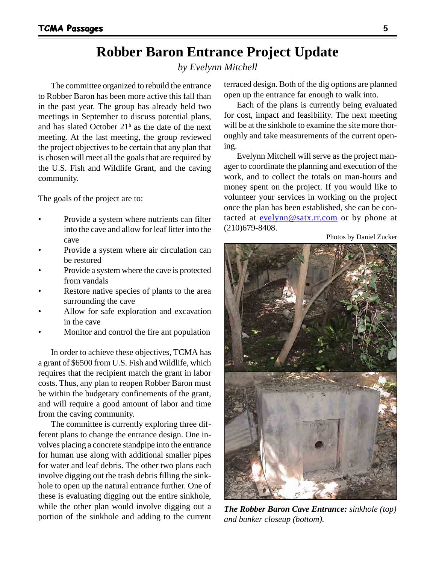## **Robber Baron Entrance Project Update**

### *by Evelynn Mitchell*

The committee organized to rebuild the entrance to Robber Baron has been more active this fall than in the past year. The group has already held two meetings in September to discuss potential plans, and has slated October  $21<sup>h</sup>$  as the date of the next meeting. At the last meeting, the group reviewed the project objectives to be certain that any plan that is chosen will meet all the goals that are required by the U.S. Fish and Wildlife Grant, and the caving community.

The goals of the project are to:

- Provide a system where nutrients can filter into the cave and allow for leaf litter into the cave
- Provide a system where air circulation can be restored
- Provide a system where the cave is protected from vandals
- Restore native species of plants to the area surrounding the cave
- Allow for safe exploration and excavation in the cave
- Monitor and control the fire ant population

In order to achieve these objectives, TCMA has a grant of \$6500 from U.S. Fish and Wildlife, which requires that the recipient match the grant in labor costs. Thus, any plan to reopen Robber Baron must be within the budgetary confinements of the grant, and will require a good amount of labor and time from the caving community.

The committee is currently exploring three different plans to change the entrance design. One involves placing a concrete standpipe into the entrance for human use along with additional smaller pipes for water and leaf debris. The other two plans each involve digging out the trash debris filling the sinkhole to open up the natural entrance further. One of these is evaluating digging out the entire sinkhole, while the other plan would involve digging out a portion of the sinkhole and adding to the current

terraced design. Both of the dig options are planned open up the entrance far enough to walk into.

Each of the plans is currently being evaluated for cost, impact and feasibility. The next meeting will be at the sinkhole to examine the site more thoroughly and take measurements of the current opening.

Evelynn Mitchell will serve as the project manager to coordinate the planning and execution of the work, and to collect the totals on man-hours and money spent on the project. If you would like to volunteer your services in working on the project once the plan has been established, she can be contacted at evelynn@satx.rr.com or by phone at (210)679-8408.

Photos by Daniel Zucker



*The Robber Baron Cave Entrance: sinkhole (top) and bunker closeup (bottom).*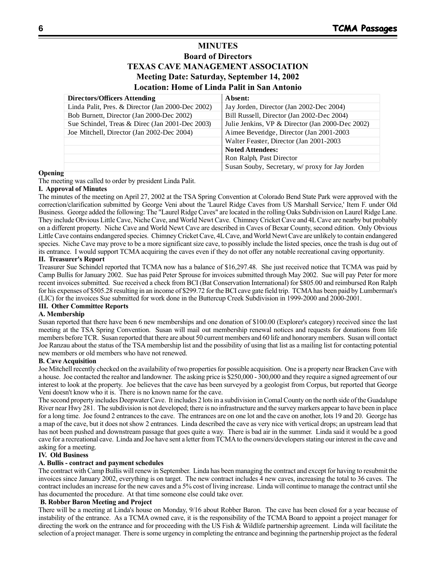### **MINUTES Board of Directors TEXAS CAVE MANAGEMENT ASSOCIATION Meeting Date: Saturday, September 14, 2002 Location: Home of Linda Palit in San Antonio**

| <b>Directors/Officers Attending</b>               | Absent:                                          |
|---------------------------------------------------|--------------------------------------------------|
| Linda Palit, Pres. & Director (Jan 2000-Dec 2002) | Jay Jorden, Director (Jan 2002-Dec 2004)         |
| Bob Burnett, Director (Jan 2000-Dec 2002)         | Bill Russell, Director (Jan 2002-Dec 2004)       |
| Sue Schindel, Treas & Direc (Jan 2001-Dec 2003)   | Julie Jenkins, VP & Director (Jan 2000-Dec 2002) |
| Joe Mitchell, Director (Jan 2002-Dec 2004)        | Aimee Beveridge, Director (Jan 2001-2003         |
|                                                   | Walter Feaster, Director (Jan 2001-2003)         |
|                                                   | <b>Noted Attendees:</b>                          |
|                                                   | Ron Ralph, Past Director                         |
|                                                   | Susan Souby, Secretary, w/ proxy for Jay Jorden  |

### **Opening**

The meeting was called to order by president Linda Palit.

### **I. Approval of Minutes**

The minutes of the meeting on April 27, 2002 at the TSA Spring Convention at Colorado Bend State Park were approved with the correction/clarification submitted by George Veni about the 'Laurel Ridge Caves from US Marshall Service,' Item F. under Old Business. George added the following: The "Laurel Ridge Caves" are located in the rolling Oaks Subdivision on Laurel Ridge Lane. They include Obvious Little Cave, Niche Cave, and World Newt Cave. Chimney Cricket Cave and 4L Cave are nearby but probably on a different property. Niche Cave and World Newt Cave are described in Caves of Bexar County, second edition. Only Obvious Little Cave contains endangered species. Chimney Cricket Cave, 4L Cave, and World Newt Cave are unlikely to contain endangered species. Niche Cave may prove to be a more significant size cave, to possibly include the listed species, once the trash is dug out of its entrance. I would support TCMA acquiring the caves even if they do not offer any notable recreational caving opportunity.

### **II. Treasurer's Report**

Treasurer Sue Schindel reported that TCMA now has a balance of \$16,297.48. She just received notice that TCMA was paid by Camp Bullis for January 2002. Sue has paid Peter Sprouse for invoices submitted through May 2002. Sue will pay Peter for more recent invoices submitted. Sue received a check from BCI (Bat Conservation International) for \$805.00 and reimbursed Ron Ralph for his expenses of \$505.28 resulting in an income of \$299.72 for the BCI cave gate field trip. TCMA has been paid by Lumberman's (LIC) for the invoices Sue submitted for work done in the Buttercup Creek Subdivision in 1999-2000 and 2000-2001.

### **III. Other Committee Reports**

### **A. Membership**

Susan reported that there have been 6 new memberships and one donation of \$100.00 (Explorer's category) received since the last meeting at the TSA Spring Convention. Susan will mail out membership renewal notices and requests for donations from life members before TCR. Susan reported that there are about 50 current members and 60 life and honorary members. Susan will contact Joe Ranzau about the status of the TSA membership list and the possibility of using that list as a mailing list for contacting potential new members or old members who have not renewed.

### **B. Cave Acquisition**

Joe Mitchell recently checked on the availability of two properties for possible acquisition. One is a property near Bracken Cave with a house. Joe contacted the realtor and landowner. The asking price is \$250,000 - 300,000 and they require a signed agreement of our interest to look at the property. Joe believes that the cave has been surveyed by a geologist from Corpus, but reported that George Veni doesn't know who it is. There is no known name for the cave.

The second property includes Deepwater Cave. It includes 2 lots in a subdivision in Comal County on the north side of the Guadalupe River near Hwy 281. The subdivision is not developed; there is no infrastructure and the survey markers appear to have been in place for a long time. Joe found 2 entrances to the cave. The entrances are on one lot and the cave on another, lots 19 and 20. George has a map of the cave, but it does not show 2 entrances. Linda described the cave as very nice with vertical drops; an upstream lead that has not been pushed and downstream passage that goes quite a way. There is bad air in the summer. Linda said it would be a good cave for a recreational cave. Linda and Joe have sent a letter from TCMA to the owners/developers stating our interest in the cave and asking for a meeting.

### **IV. Old Business**

### **A. Bullis - contract and payment schedules**

The contract with Camp Bullis will renew in September. Linda has been managing the contract and except for having to resubmit the invoices since January 2002, everything is on target. The new contract includes 4 new caves, increasing the total to 36 caves. The contract includes an increase for the new caves and a 5% cost of living increase. Linda will continue to manage the contract until she has documented the procedure. At that time someone else could take over.

### **B. Robber Baron Meeting and Project**

There will be a meeting at Linda's house on Monday, 9/16 about Robber Baron. The cave has been closed for a year because of instability of the entrance. As a TCMA owned cave, it is the responsibility of the TCMA Board to appoint a project manager for directing the work on the entrance and for proceeding with the US Fish & Wildlife partnership agreement. Linda will facilitate the selection of a project manager. There is some urgency in completing the entrance and beginning the partnership project as the federal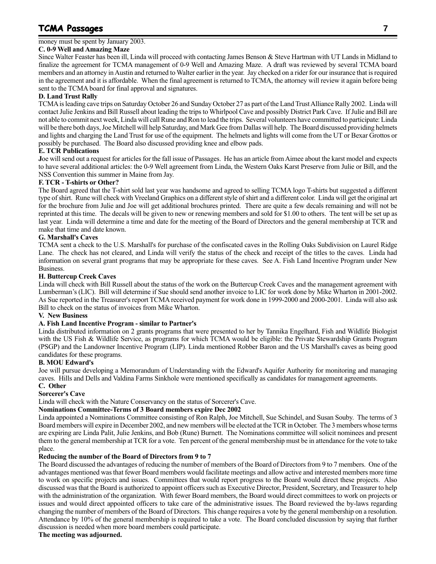### **TCMA Passages 7**

### money must be spent by January 2003.

### **C. 0-9 Well and Amazing Maze**

Since Walter Feaster has been ill, Linda will proceed with contacting James Benson & Steve Hartman with UT Lands in Midland to finalize the agreement for TCMA management of 0-9 Well and Amazing Maze. A draft was reviewed by several TCMA board members and an attorney in Austin and returned to Walter earlier in the year. Jay checked on a rider for our insurance that is required in the agreement and it is affordable. When the final agreement is returned to TCMA, the attorney will review it again before being sent to the TCMA board for final approval and signatures.

### **D. Land Trust Rally**

TCMA is leading cave trips on Saturday October 26 and Sunday October 27 as part of the Land Trust Alliance Rally 2002. Linda will contact Julie Jenkins and Bill Russell about leading the trips to Whirlpool Cave and possibly District Park Cave. If Julie and Bill are not able to commit next week, Linda will call Rune and Ron to lead the trips. Several volunteers have committed to participate: Linda will be there both days, Joe Mitchell will help Saturday, and Mark Gee from Dallas will help. The Board discussed providing helmets and lights and charging the Land Trust for use of the equipment. The helmets and lights will come from the UT or Bexar Grottos or possibly be purchased. The Board also discussed providing knee and elbow pads.

### **E. TCR Publications**

**J**oe will send out a request for articles for the fall issue of Passages. He has an article from Aimee about the karst model and expects to have several additional articles: the 0-9 Well agreement from Linda, the Western Oaks Karst Preserve from Julie or Bill, and the NSS Convention this summer in Maine from Jay.

### **F. TCR - T-shirts or Other?**

The Board agreed that the T-shirt sold last year was handsome and agreed to selling TCMA logo T-shirts but suggested a different type of shirt. Rune will check with Vreeland Graphics on a different style of shirt and a different color. Linda will get the original art for the brochure from Julie and Joe will get additional brochures printed. There are quite a few decals remaining and will not be reprinted at this time. The decals will be given to new or renewing members and sold for \$1.00 to others. The tent will be set up as last year. Linda will determine a time and date for the meeting of the Board of Directors and the general membership at TCR and make that time and date known.

### **G. Marshall's Caves**

TCMA sent a check to the U.S. Marshall's for purchase of the confiscated caves in the Rolling Oaks Subdivision on Laurel Ridge Lane. The check has not cleared, and Linda will verify the status of the check and receipt of the titles to the caves. Linda had information on several grant programs that may be appropriate for these caves. See A. Fish Land Incentive Program under New Business.

### **H. Buttercup Creek Caves**

Linda will check with Bill Russell about the status of the work on the Buttercup Creek Caves and the management agreement with Lumberman's (LIC). Bill will determine if Sue should send another invoice to LIC for work done by Mike Wharton in 2001-2002. As Sue reported in the Treasurer's report TCMA received payment for work done in 1999-2000 and 2000-2001. Linda will also ask Bill to check on the status of invoices from Mike Wharton.

### **V. New Business**

### **A. Fish Land Incentive Program - similar to Partner's**

Linda distributed information on 2 grants programs that were presented to her by Tannika Engelhard, Fish and Wildlife Biologist with the US Fish & Wildlife Service, as programs for which TCMA would be eligible: the Private Stewardship Grants Program (PSGP) and the Landowner Incentive Program (LIP). Linda mentioned Robber Baron and the US Marshall's caves as being good candidates for these programs.

### **B. MOU Edward's**

Joe will pursue developing a Memorandum of Understanding with the Edward's Aquifer Authority for monitoring and managing caves. Hills and Dells and Valdina Farms Sinkhole were mentioned specifically as candidates for management agreements.

### **C. Other**

### **Sorcerer's Cave**

Linda will check with the Nature Conservancy on the status of Sorcerer's Cave.

### **Nominations Committee-Terms of 3 Board members expire Dec 2002**

Linda appointed a Nominations Committee consisting of Ron Ralph, Joe Mitchell, Sue Schindel, and Susan Souby. The terms of 3 Board members will expire in December 2002, and new members will be elected at the TCR in October. The 3 members whose terms are expiring are Linda Palit, Julie Jenkins, and Bob (Rune) Burnett. The Nominations committee will solicit nominees and present them to the general membership at TCR for a vote. Ten percent of the general membership must be in attendance for the vote to take place.

### **Reducing the number of the Board of Directors from 9 to 7**

The Board discussed the advantages of reducing the number of members of the Board of Directors from 9 to 7 members. One of the advantages mentioned was that fewer Board members would facilitate meetings and allow active and interested members more time to work on specific projects and issues. Committees that would report progress to the Board would direct these projects. Also discussed was that the Board is authorized to appoint officers such as Executive Director, President, Secretary, and Treasurer to help with the administration of the organization. With fewer Board members, the Board would direct committees to work on projects or issues and would direct appointed officers to take care of the administrative issues. The Board reviewed the by-laws regarding changing the number of members of the Board of Directors. This change requires a vote by the general membership on a resolution. Attendance by 10% of the general membership is required to take a vote. The Board concluded discussion by saying that further discussion is needed when more board members could participate.

### **The meeting was adjourned.**